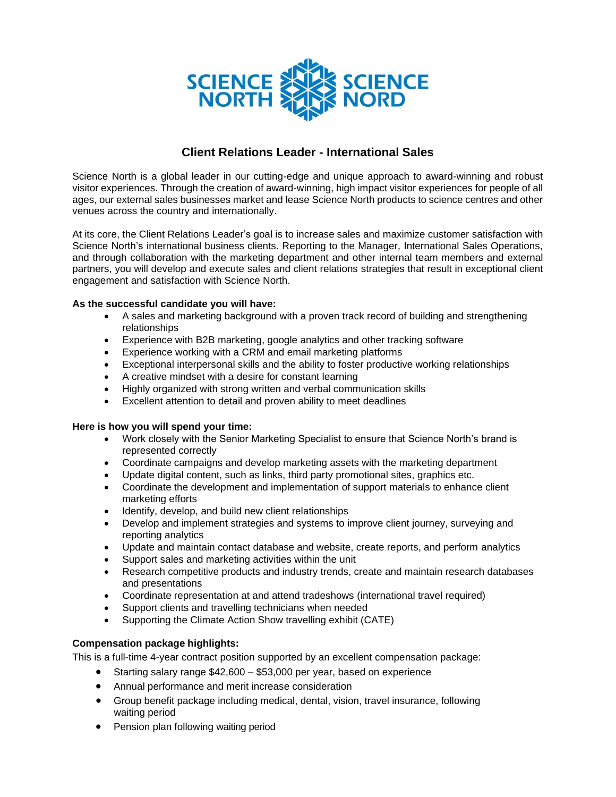

## **Client Relations Leader - International Sales**

Science North is a global leader in our cutting-edge and unique approach to award-winning and robust visitor experiences. Through the creation of award-winning, high impact visitor experiences for people of all ages, our external sales businesses market and lease Science North products to science centres and other venues across the country and internationally.

At its core, the Client Relations Leader's goal is to increase sales and maximize customer satisfaction with Science North's international business clients. Reporting to the Manager, International Sales Operations, and through collaboration with the marketing department and other internal team members and external partners, you will develop and execute sales and client relations strategies that result in exceptional client engagement and satisfaction with Science North.

## **As the successful candidate you will have:**

- A sales and marketing background with a proven track record of building and strengthening relationships
- Experience with B2B marketing, google analytics and other tracking software
- Experience working with a CRM and email marketing platforms
- Exceptional interpersonal skills and the ability to foster productive working relationships
- A creative mindset with a desire for constant learning
- Highly organized with strong written and verbal communication skills
- Excellent attention to detail and proven ability to meet deadlines

## **Here is how you will spend your time:**

- Work closely with the Senior Marketing Specialist to ensure that Science North's brand is represented correctly
- Coordinate campaigns and develop marketing assets with the marketing department
- Update digital content, such as links, third party promotional sites, graphics etc.
- Coordinate the development and implementation of support materials to enhance client marketing efforts
- Identify, develop, and build new client relationships
- Develop and implement strategies and systems to improve client journey, surveying and reporting analytics
- Update and maintain contact database and website, create reports, and perform analytics
- Support sales and marketing activities within the unit
- Research competitive products and industry trends, create and maintain research databases and presentations
- Coordinate representation at and attend tradeshows (international travel required)
- Support clients and travelling technicians when needed
- Supporting the Climate Action Show travelling exhibit (CATE)

## **Compensation package highlights:**

This is a full-time 4-year contract position supported by an excellent compensation package:

- Starting salary range \$42,600 \$53,000 per year, based on experience
- Annual performance and merit increase consideration
- Group benefit package including medical, dental, vision, travel insurance, following waiting period
- Pension plan following waiting period